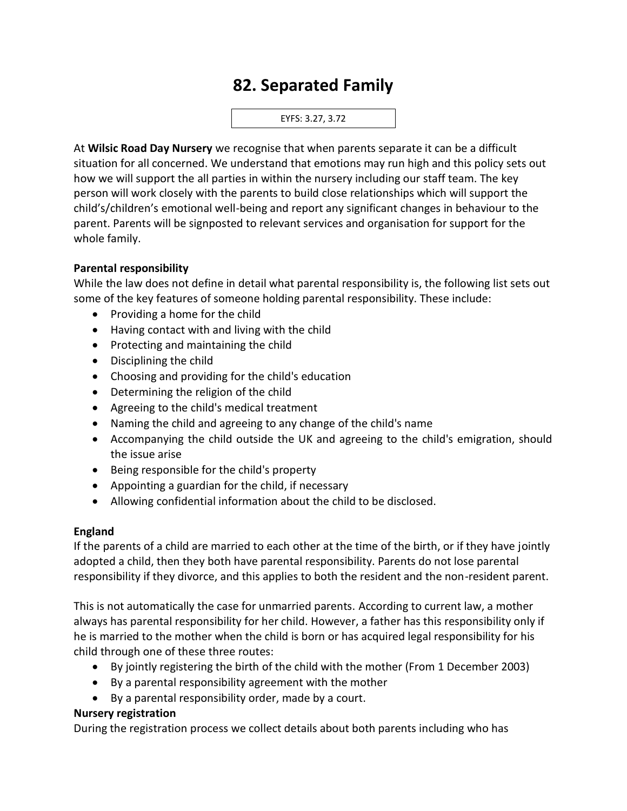# **82. Separated Family**

EYFS: 3.27, 3.72

At **Wilsic Road Day Nursery** we recognise that when parents separate it can be a difficult situation for all concerned. We understand that emotions may run high and this policy sets out how we will support the all parties in within the nursery including our staff team. The key person will work closely with the parents to build close relationships which will support the child's/children's emotional well-being and report any significant changes in behaviour to the parent. Parents will be signposted to relevant services and organisation for support for the whole family.

#### **Parental responsibility**

While the law does not define in detail what parental responsibility is, the following list sets out some of the key features of someone holding parental responsibility. These include:

- Providing a home for the child
- Having contact with and living with the child
- Protecting and maintaining the child
- Disciplining the child
- Choosing and providing for the child's education
- Determining the religion of the child
- Agreeing to the child's medical treatment
- Naming the child and agreeing to any change of the child's name
- Accompanying the child outside the UK and agreeing to the child's emigration, should the issue arise
- Being responsible for the child's property
- Appointing a guardian for the child, if necessary
- Allowing confidential information about the child to be disclosed.

#### **England**

If the parents of a child are married to each other at the time of the birth, or if they have jointly adopted a child, then they both have parental responsibility. Parents do not lose parental responsibility if they divorce, and this applies to both the resident and the non-resident parent.

This is not automatically the case for unmarried parents. According to current law, a mother always has parental responsibility for her child. However, a father has this responsibility only if he is married to the mother when the child is born or has acquired legal responsibility for his child through one of these three routes:

- By jointly registering the birth of the child with the mother (From 1 December 2003)
- By a parental responsibility agreement with the mother
- By a parental responsibility order, made by a court.

#### **Nursery registration**

During the registration process we collect details about both parents including who has